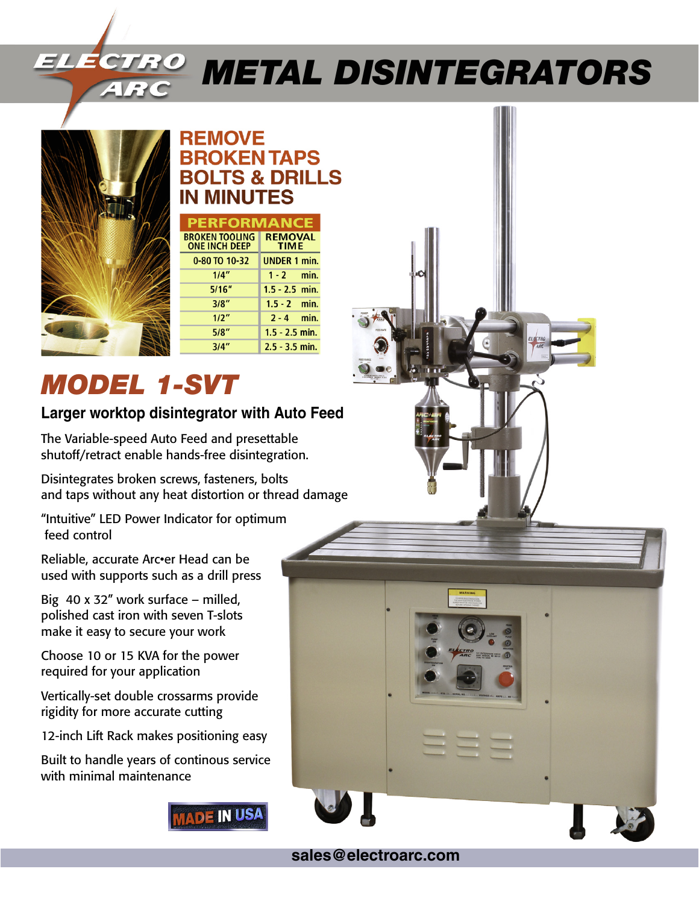# *Metal Disintegrators*



## **REMOVE BROKEN TAPS BOLTS & DRILLS IN MINUTES**

| <b>PERFORMANC</b>                             |                               |
|-----------------------------------------------|-------------------------------|
| <b>BROKEN TOOLING</b><br><b>ONE INCH DEEP</b> | <b>REMOVAL</b><br><b>TIME</b> |
| 0-80 TO 10-32                                 | <b>UNDER 1 min.</b>           |
| 1/4"                                          | $1 - 2$ min.                  |
| 5/16''                                        | $1.5 - 2.5$ min.              |
| 3/8"                                          | $1.5 - 2$ min.                |
| 1/2"                                          | $2 - 4$ min.                  |
| 5/8"                                          | $1.5 - 2.5$ min.              |
| 3/4"                                          | $2.5 - 3.5$ min.              |

## *MODEL 1-SVT*

### **Larger worktop disintegrator with Auto Feed**

The Variable-speed Auto Feed and presettable shutoff/retract enable hands-free disintegration.

Disintegrates broken screws, fasteners, bolts and taps without any heat distortion or thread damage

"Intuitive" LED Power Indicator for optimum feed control

Reliable, accurate Arc•er Head can be used with supports such as a drill press

Big 40 x 32" work surface – milled, polished cast iron with seven T-slots make it easy to secure your work

Choose 10 or 15 KVA for the power required for your application

Vertically-set double crossarms provide rigidity for more accurate cutting

12-inch Lift Rack makes positioning easy

Built to handle years of continous service with minimal maintenance





**sales@electroarc.com**